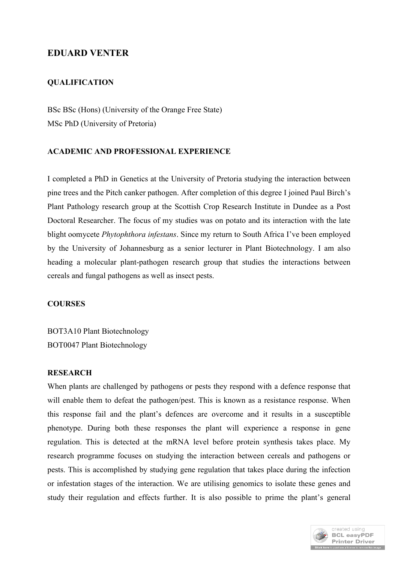# **EDUARD VENTER**

# **QUALIFICATION**

BSc BSc (Hons) (University of the Orange Free State) MSc PhD (University of Pretoria)

## **ACADEMIC AND PROFESSIONAL EXPERIENCE**

I completed a PhD in Genetics at the University of Pretoria studying the interaction between pine trees and the Pitch canker pathogen. After completion of this degree I joined Paul Birch's Plant Pathology research group at the Scottish Crop Research Institute in Dundee as a Post Doctoral Researcher. The focus of my studies was on potato and its interaction with the late blight oomycete *Phytophthora infestans*. Since my return to South Africa I've been employed by the University of Johannesburg as a senior lecturer in Plant Biotechnology. I am also heading a molecular plant-pathogen research group that studies the interactions between cereals and fungal pathogens as well as insect pests.

#### **COURSES**

BOT3A10 Plant Biotechnology BOT0047 Plant Biotechnology

#### **RESEARCH**

When plants are challenged by pathogens or pests they respond with a defence response that will enable them to defeat the pathogen/pest. This is known as a resistance response. When this response fail and the plant's defences are overcome and it results in a susceptible phenotype. During both these responses the plant will experience a response in gene regulation. This is detected at the mRNA level before protein synthesis takes place. My research programme focuses on studying the interaction between cereals and pathogens or pests. This is accomplished by studying gene regulation that takes place during the infection or infestation stages of the interaction. We are utilising genomics to isolate these genes and study their regulation and effects further. It is also possible to prime the plant's general

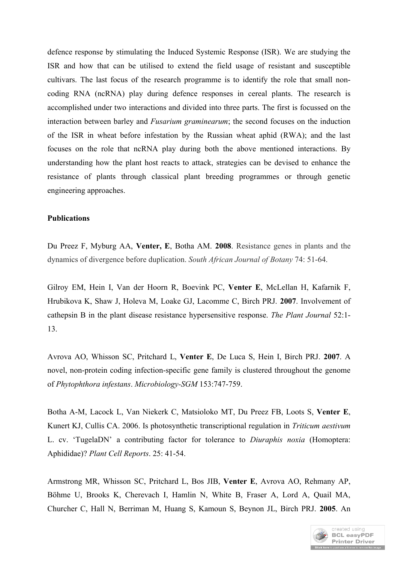defence response by stimulating the Induced Systemic Response (ISR). We are studying the ISR and how that can be utilised to extend the field usage of resistant and susceptible cultivars. The last focus of the research programme is to identify the role that small noncoding RNA (ncRNA) play during defence responses in cereal plants. The research is accomplished under two interactions and divided into three parts. The first is focussed on the interaction between barley and *Fusarium graminearum*; the second focuses on the induction of the ISR in wheat before infestation by the Russian wheat aphid (RWA); and the last focuses on the role that ncRNA play during both the above mentioned interactions. By understanding how the plant host reacts to attack, strategies can be devised to enhance the resistance of plants through classical plant breeding programmes or through genetic engineering approaches.

### **Publications**

Du Preez F, Myburg AA, **Venter, E**, Botha AM. **2008**. Resistance genes in plants and the dynamics of divergence before duplication. *South African Journal of Botany* 74: 51-64.

Gilroy EM, Hein I, Van der Hoorn R, Boevink PC, **Venter E**, McLellan H, Kafarnik F, Hrubikova K, Shaw J, Holeva M, Loake GJ, Lacomme C, Birch PRJ. **2007**. Involvement of cathepsin B in the plant disease resistance hypersensitive response. *The Plant Journal* 52:1- 13.

Avrova AO, Whisson SC, Pritchard L, **Venter E**, De Luca S, Hein I, Birch PRJ. **2007**. A novel, non-protein coding infection-specific gene family is clustered throughout the genome of *Phytophthora infestans*. *Microbiology-SGM* 153:747-759.

Botha A-M, Lacock L, Van Niekerk C, Matsioloko MT, Du Preez FB, Loots S, **Venter E**, Kunert KJ, Cullis CA. 2006. Is photosynthetic transcriptional regulation in *Triticum aestivum* L. cv. 'TugelaDN' a contributing factor for tolerance to *Diuraphis noxia* (Homoptera: Aphididae)? *Plant Cell Reports*. 25: 41-54.

Armstrong MR, Whisson SC, Pritchard L, Bos JIB, **Venter E**, Avrova AO, Rehmany AP, Böhme U, Brooks K, Cherevach I, Hamlin N, White B, Fraser A, Lord A, Quail MA, Churcher C, Hall N, Berriman M, Huang S, Kamoun S, Beynon JL, Birch PRJ. **2005**. An